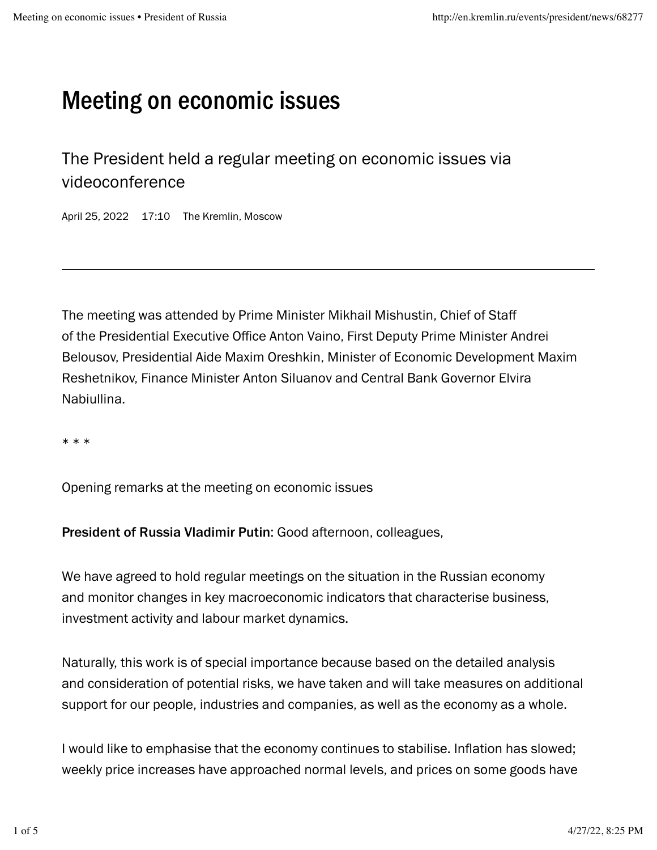## Meeting on economic issues

The President held a regular meeting on economic issues via videoconference

April 25, 2022 17:10 The Kremlin, Moscow

The meeting was attended by Prime Minister Mikhail Mishustin[,](http://en.kremlin.ru/catalog/persons/294/events) Chief of Staff ofthe Presidential Executive Office Anton Vaino, First Deputy Prime Minister [Andrei](http://en.kremlin.ru/catalog/persons/330/biography) Belousov[,](http://en.kremlin.ru/catalog/persons/495/biography) Presidential Aide [Maxim](http://en.kremlin.ru/catalog/persons/504/events) Oreshkin, Minister of Economic Development Maxim Reshetnikov,Finance Minister Anton Siluanov and Central Bank Governor [Elvira](http://en.kremlin.ru/catalog/persons/67/biography) . [Nabiullina](http://en.kremlin.ru/catalog/persons/67/biography)

\* \* \*

Opening remarks at the meeting on economic issues

President of Russia Vladimir Putin: Good afternoon, colleagues,

We have agreed to hold regular meetings on the situation in the Russian economy and monitor changes in key macroeconomic indicators that characterise business, investment activity and labour market dynamics.

Naturally, this work is of special importance because based on the detailed analysis and consideration of potential risks, we have taken and will take measures on additional support for our people, industries and companies, as well as the economy as a whole.

I would like to emphasise that the economy continues to stabilise. Inflation has slowed; weekly price increases have approached normal levels, and prices on some goods have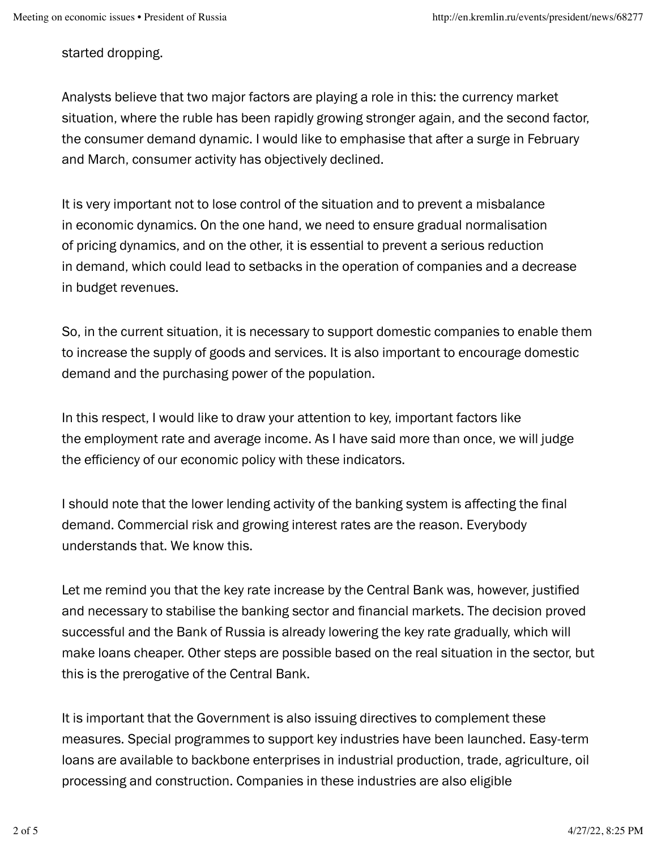started dropping.

Analysts believe that two major factors are playing a role in this: the currency market situation, where the ruble has been rapidly growing stronger again, and the second factor, the consumer demand dynamic. I would like to emphasise that after a surge in February and March, consumer activity has objectively declined.

It is very important not to lose control of the situation and to prevent a misbalance in economic dynamics. On the one hand, we need to ensure gradual normalisation of pricing dynamics, and on the other, it is essential to prevent a serious reduction in demand, which could lead to setbacks in the operation of companies and a decrease in budget revenues.

So, in the current situation, it is necessary to support domestic companies to enable them to increase the supply of goods and services. It is also important to encourage domestic demand and the purchasing power of the population.

In this respect, I would like to draw your attention to key, important factors like the employment rate and average income. As I have said more than once, we will judge the efficiency of our economic policy with these indicators.

I should note that the lower lending activity of the banking system is affecting the final demand. Commercial risk and growing interest rates are the reason. Everybody understands that. We know this.

Let me remind you that the key rate increase by the Central Bank was, however, justified and necessary to stabilise the banking sector and financial markets. The decision proved successful and the Bank of Russia is already lowering the key rate gradually, which will make loans cheaper. Other steps are possible based on the real situation in the sector, but this is the prerogative of the Central Bank.

It is important that the Government is also issuing directives to complement these measures. Special programmes to support key industries have been launched. Easy-term loans are available to backbone enterprises in industrial production, trade, agriculture, oil processing and construction. Companies in these industries are also eligible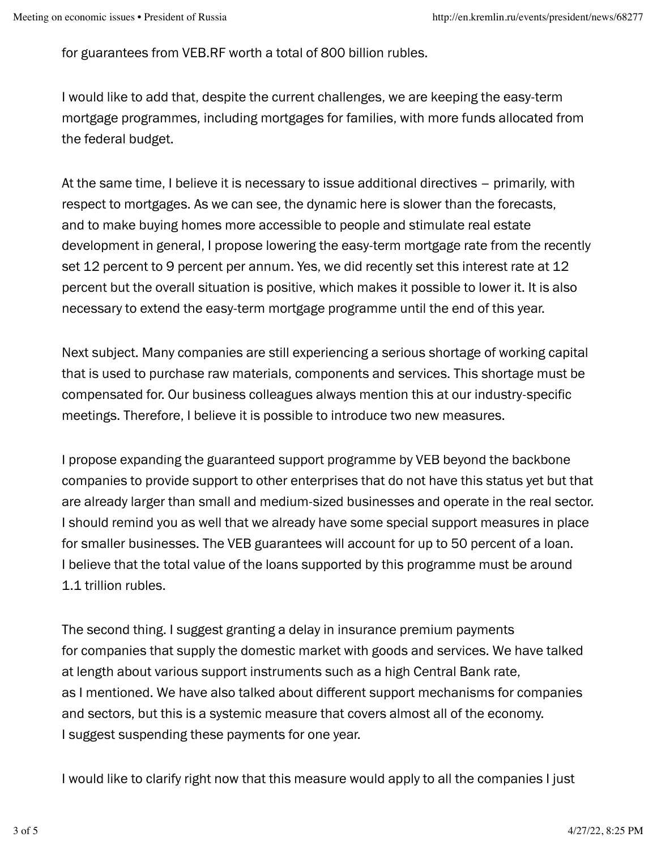for guarantees from VEB.RF worth a total of 800 billion rubles.

I would like to add that, despite the current challenges, we are keeping the easy-term mortgage programmes, including mortgages for families, with more funds allocated from the federal budget.

At the same time, I believe it is necessary to issue additional directives – primarily, with respect to mortgages. As we can see, the dynamic here is slower than the forecasts, and to make buying homes more accessible to people and stimulate real estate development in general, I propose lowering the easy-term mortgage rate from the recently set 12 percent to 9 percent per annum. Yes, we did recently set this interest rate at 12 percent but the overall situation is positive, which makes it possible to lower it. It is also necessary to extend the easy-term mortgage programme until the end of this year.

Next subject. Many companies are still experiencing a serious shortage of working capital that is used to purchase raw materials, components and services. This shortage must be compensated for. Our business colleagues always mention this at our industry-specific meetings. Therefore, I believe it is possible to introduce two new measures.

I propose expanding the guaranteed support programme by VEB beyond the backbone companies to provide support to other enterprises that do not have this status yet but that are already larger than small and medium-sized businesses and operate in the real sector. I should remind you as well that we already have some special support measures in place for smaller businesses. The VEB guarantees will account for up to 50 percent of a loan. I believe that the total value of the loans supported by this programme must be around 1.1 trillion rubles.

The second thing. I suggest granting a delay in insurance premium payments for companies that supply the domestic market with goods and services. We have talked at length about various support instruments such as a high Central Bank rate, as I mentioned. We have also talked about different support mechanisms for companies and sectors, but this is a systemic measure that covers almost all of the economy. I suggest suspending these payments for one year.

I would like to clarify right now that this measure would apply to all the companies I just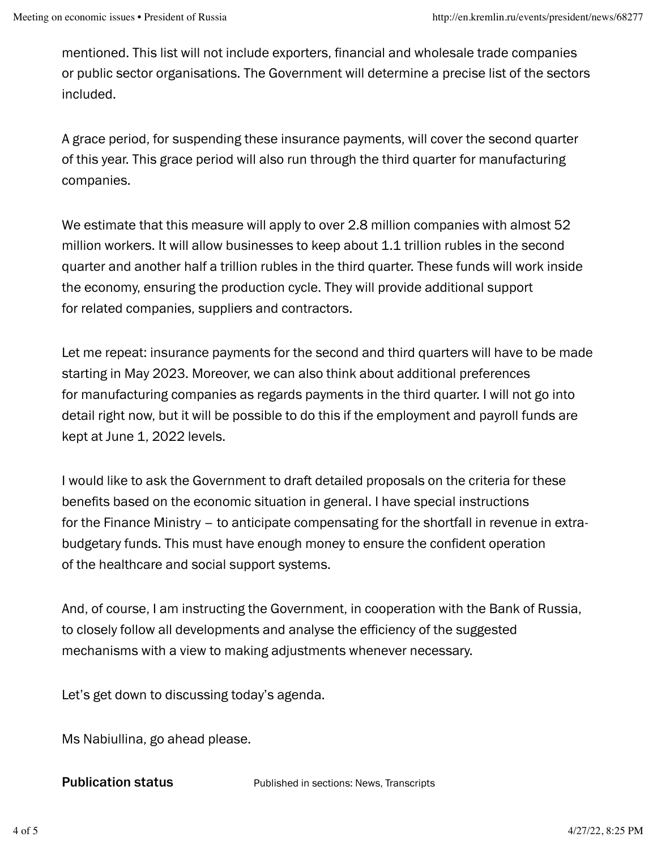mentioned. This list will not include exporters, financial and wholesale trade companies or public sector organisations. The Government will determine a precise list of the sectors included.

A grace period, for suspending these insurance payments, will cover the second quarter of this year. This grace period will also run through the third quarter for manufacturing companies.

We estimate that this measure will apply to over 2.8 million companies with almost 52 million workers. It will allow businesses to keep about 1.1 trillion rubles in the second quarter and another half a trillion rubles in the third quarter. These funds will work inside the economy, ensuring the production cycle. They will provide additional support for related companies, suppliers and contractors.

Let me repeat: insurance payments for the second and third quarters will have to be made starting in May 2023. Moreover, we can also think about additional preferences for manufacturing companies as regards payments in the third quarter. I will not go into detail right now, but it will be possible to do this if the employment and payroll funds are kept at June 1, 2022 levels.

I would like to ask the Government to draft detailed proposals on the criteria for these benefits based on the economic situation in general. I have special instructions for the Finance Ministry – to anticipate compensating for the shortfall in revenue in extrabudgetary funds. This must have enough money to ensure the confident operation of the healthcare and social support systems.

And, of course, I am instructing the Government, in cooperation with the Bank of Russia, to closely follow all developments and analyse the efficiency of the suggested mechanisms with a view to making adjustments whenever necessary.

Let's get down to discussing today's agenda.

Ms Nabiullina, go ahead please.

Publication status

Published in sections: [News](http://en.kremlin.ru/events/president/news), [Transcripts](http://en.kremlin.ru/events/president/transcripts)